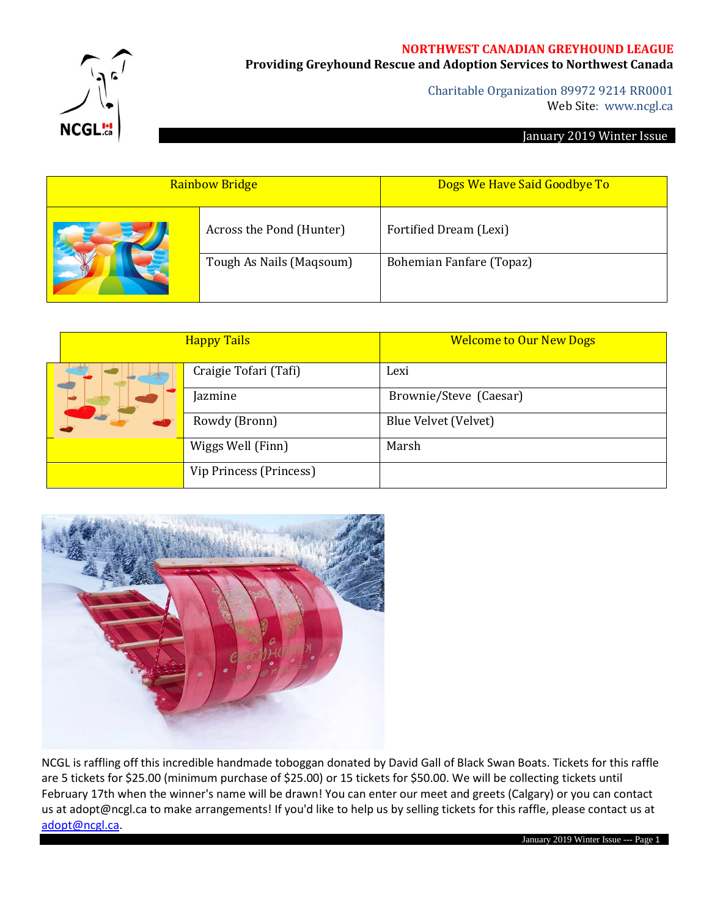#### **NORTHWEST CANADIAN GREYHOUND LEAGUE**

**NCGL!** 

# **Providing Greyhound Rescue and Adoption Services to Northwest Canada**

Charitable Organization 89972 9214 RR0001 Web Site: www.ncgl.ca

#### January 2019 Winter Issue

| <b>Rainbow Bridge</b>    | Dogs We Have Said Goodbye To    |  |  |
|--------------------------|---------------------------------|--|--|
| Across the Pond (Hunter) | Fortified Dream (Lexi)          |  |  |
| Tough As Nails (Maqsoum) | <b>Bohemian Fanfare (Topaz)</b> |  |  |

|  | <b>Happy Tails</b>      | <b>Welcome to Our New Dogs</b> |  |  |
|--|-------------------------|--------------------------------|--|--|
|  | Craigie Tofari (Tafi)   | Lexi                           |  |  |
|  | Jazmine                 | Brownie/Steve (Caesar)         |  |  |
|  | Rowdy (Bronn)           | Blue Velvet (Velvet)           |  |  |
|  | Wiggs Well (Finn)       | Marsh                          |  |  |
|  | Vip Princess (Princess) |                                |  |  |



NCGL is raffling off this incredible handmade toboggan donated by David Gall of Black Swan Boats. Tickets for this raffle are 5 tickets for \$25.00 (minimum purchase of \$25.00) or 15 tickets for \$50.00. We will be collecting tickets until February 17th when the winner's name will be drawn! You can enter our meet and greets (Calgary) or you can contact us at adopt@ncgl.ca to make arrangements! If you'd like to help us by selling tickets for this raffle, please contact us at [adopt@ncgl.ca.](mailto:adopt@ncgl.ca)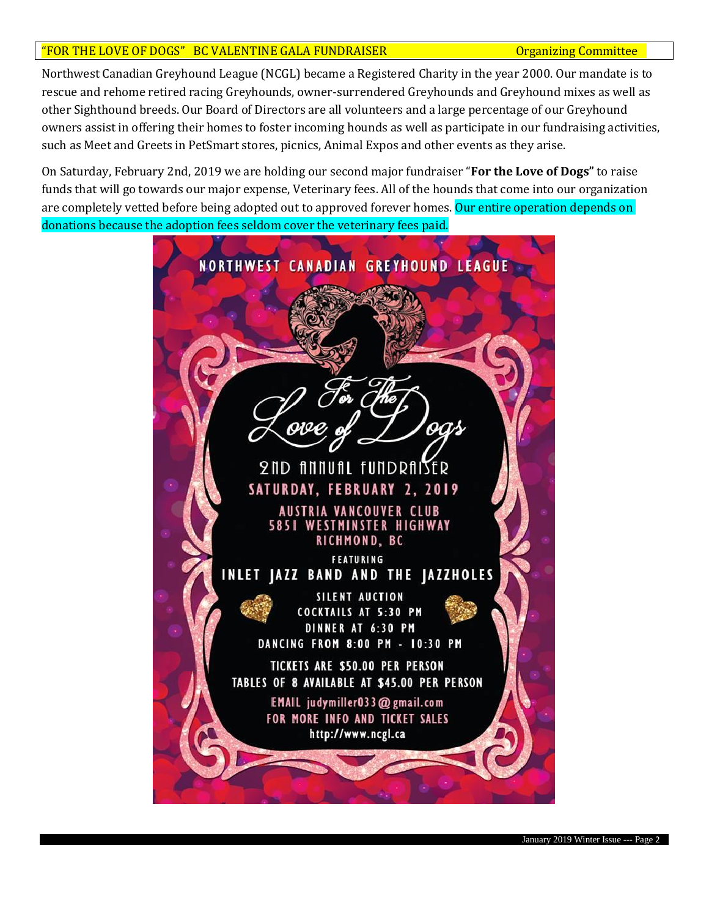## "FOR THE LOVE OF DOGS" BC VALENTINE GALA FUNDRAISER **COMMITS COMMITS COMMITS**

Northwest Canadian Greyhound League (NCGL) became a Registered Charity in the year 2000. Our mandate is to rescue and rehome retired racing Greyhounds, owner-surrendered Greyhounds and Greyhound mixes as well as other Sighthound breeds. Our Board of Directors are all volunteers and a large percentage of our Greyhound owners assist in offering their homes to foster incoming hounds as well as participate in our fundraising activities, such as Meet and Greets in PetSmart stores, picnics, Animal Expos and other events as they arise.

On Saturday, February 2nd, 2019 we are holding our second major fundraiser "**For the Love of Dogs"** to raise funds that will go towards our major expense, Veterinary fees. All of the hounds that come into our organization are completely vetted before being adopted out to approved forever homes. Our entire operation depends on donations because the adoption fees seldom cover the veterinary fees paid.

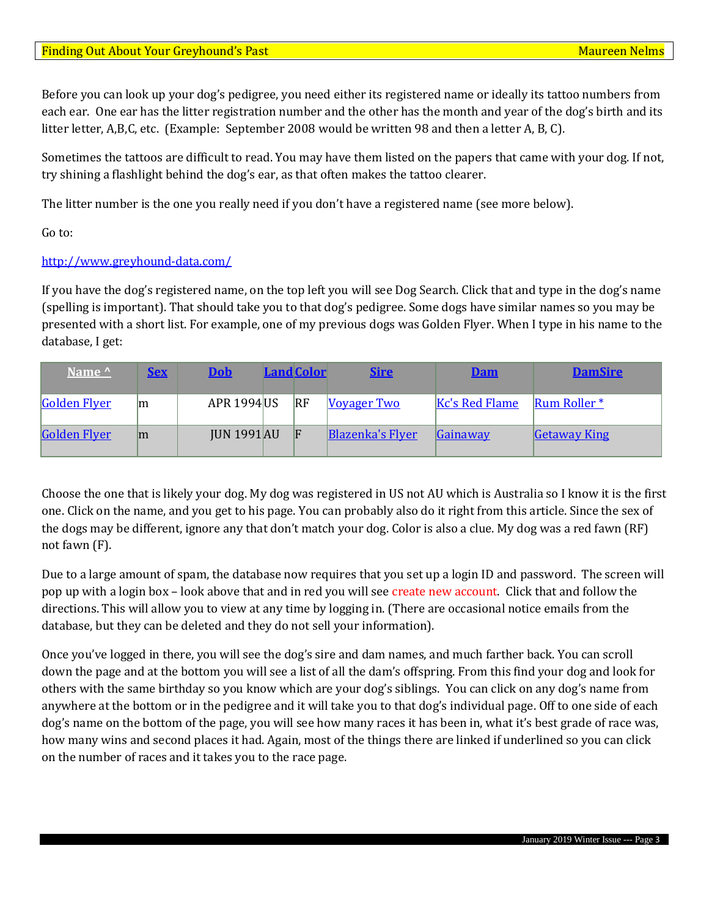Before you can look up your dog's pedigree, you need either its registered name or ideally its tattoo numbers from each ear. One ear has the litter registration number and the other has the month and year of the dog's birth and its litter letter, A,B,C, etc. (Example: September 2008 would be written 98 and then a letter A, B, C).

Sometimes the tattoos are difficult to read. You may have them listed on the papers that came with your dog. If not, try shining a flashlight behind the dog's ear, as that often makes the tattoo clearer.

The litter number is the one you really need if you don't have a registered name (see more below).

Go to:

### <http://www.greyhound-data.com/>

If you have the dog's registered name, on the top left you will see Dog Search. Click that and type in the dog's name (spelling is important). That should take you to that dog's pedigree. Some dogs have similar names so you may be presented with a short list. For example, one of my previous dogs was Golden Flyer. When I type in his name to the database, I get:

| Name ^              | <u>Sex</u> | <b>Dob</b>         | <b>Land Color</b> | <b>Sire</b>             | <b>Dam</b>     | <b>DamSire</b>           |
|---------------------|------------|--------------------|-------------------|-------------------------|----------------|--------------------------|
| <b>Golden Flyer</b> | m          | <b>APR 1994 US</b> | $\overline{R}$    | <b>Voyager Two</b>      | Kc's Red Flame | $\mathbb{R}$ um Roller * |
| <b>Golden Flyer</b> | lm         | <b>JUN 1991 AU</b> | E                 | <b>Blazenka's Flyer</b> | Gainaway       | <b>Getaway King</b>      |

Choose the one that is likely your dog. My dog was registered in US not AU which is Australia so I know it is the first one. Click on the name, and you get to his page. You can probably also do it right from this article. Since the sex of the dogs may be different, ignore any that don't match your dog. Color is also a clue. My dog was a red fawn (RF) not fawn (F).

Due to a large amount of spam, the database now requires that you set up a login ID and password. The screen will pop up with a login box – look above that and in red you will see create new account. Click that and follow the directions. This will allow you to view at any time by logging in. (There are occasional notice emails from the database, but they can be deleted and they do not sell your information).

Once you've logged in there, you will see the dog's sire and dam names, and much farther back. You can scroll down the page and at the bottom you will see a list of all the dam's offspring. From this find your dog and look for others with the same birthday so you know which are your dog's siblings. You can click on any dog's name from anywhere at the bottom or in the pedigree and it will take you to that dog's individual page. Off to one side of each dog's name on the bottom of the page, you will see how many races it has been in, what it's best grade of race was, how many wins and second places it had. Again, most of the things there are linked if underlined so you can click on the number of races and it takes you to the race page.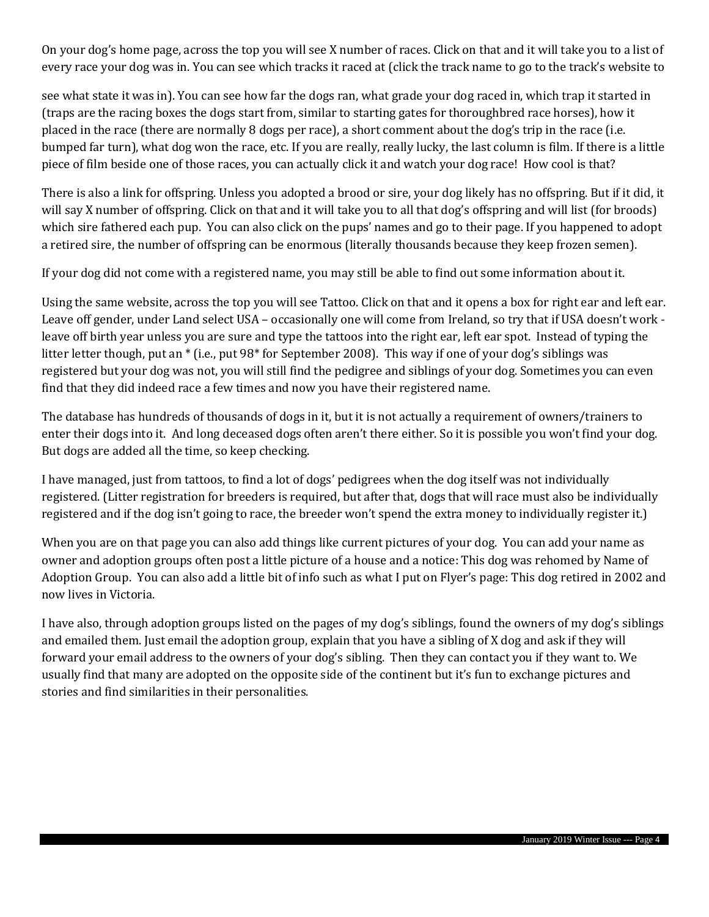On your dog's home page, across the top you will see X number of races. Click on that and it will take you to a list of every race your dog was in. You can see which tracks it raced at (click the track name to go to the track's website to

see what state it was in). You can see how far the dogs ran, what grade your dog raced in, which trap it started in (traps are the racing boxes the dogs start from, similar to starting gates for thoroughbred race horses), how it placed in the race (there are normally 8 dogs per race), a short comment about the dog's trip in the race (i.e. bumped far turn), what dog won the race, etc. If you are really, really lucky, the last column is film. If there is a little piece of film beside one of those races, you can actually click it and watch your dog race! How cool is that?

There is also a link for offspring. Unless you adopted a brood or sire, your dog likely has no offspring. But if it did, it will say X number of offspring. Click on that and it will take you to all that dog's offspring and will list (for broods) which sire fathered each pup. You can also click on the pups' names and go to their page. If you happened to adopt a retired sire, the number of offspring can be enormous (literally thousands because they keep frozen semen).

If your dog did not come with a registered name, you may still be able to find out some information about it.

Using the same website, across the top you will see Tattoo. Click on that and it opens a box for right ear and left ear. Leave off gender, under Land select USA – occasionally one will come from Ireland, so try that if USA doesn't work leave off birth year unless you are sure and type the tattoos into the right ear, left ear spot. Instead of typing the litter letter though, put an \* (i.e., put 98\* for September 2008). This way if one of your dog's siblings was registered but your dog was not, you will still find the pedigree and siblings of your dog. Sometimes you can even find that they did indeed race a few times and now you have their registered name.

The database has hundreds of thousands of dogs in it, but it is not actually a requirement of owners/trainers to enter their dogs into it. And long deceased dogs often aren't there either. So it is possible you won't find your dog. But dogs are added all the time, so keep checking.

I have managed, just from tattoos, to find a lot of dogs' pedigrees when the dog itself was not individually registered. (Litter registration for breeders is required, but after that, dogs that will race must also be individually registered and if the dog isn't going to race, the breeder won't spend the extra money to individually register it.)

When you are on that page you can also add things like current pictures of your dog. You can add your name as owner and adoption groups often post a little picture of a house and a notice: This dog was rehomed by Name of Adoption Group. You can also add a little bit of info such as what I put on Flyer's page: This dog retired in 2002 and now lives in Victoria.

I have also, through adoption groups listed on the pages of my dog's siblings, found the owners of my dog's siblings and emailed them. Just email the adoption group, explain that you have a sibling of X dog and ask if they will forward your email address to the owners of your dog's sibling. Then they can contact you if they want to. We usually find that many are adopted on the opposite side of the continent but it's fun to exchange pictures and stories and find similarities in their personalities.